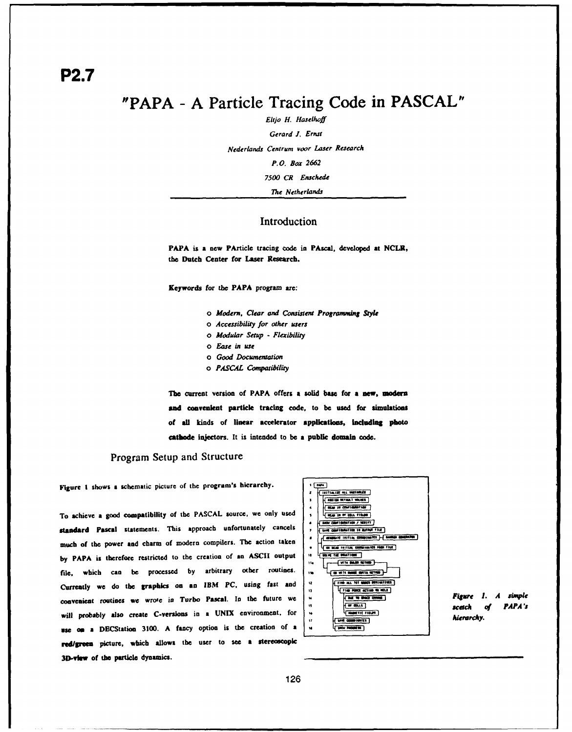# "PAPA **- A** Particle Tracing Code in **PASCAL"**

*EltJo H. Haselhoff* Gerard *J.* Ernst Nederlands Centrum voor Laser Research P.O. Box **2662 7500** CR Enschede *The Netherlands*

#### Introduction

PAPA is a new PArticle tracing code in PAscal, developed at **NCLR,** the Dutch Center for Laser Research.

Keywords for the PAPA program **are:**

- *o Modern, Clear* and Consistent Programming **Style**
- *o Accessibility for other users*
- *o Modular Setup* **-** *Flexibility*
- *o* Ease *in* use
- *o Good* Documentation
- *o PASCAL Compatibility*

**The** current version of PAPA offers a solid base for a new, modern **and** convenient particle tracing code, to **be** used for simulations of **ll** kinds of linear accelerator applications, **Indludig** photo cathode Injectors. It is intended to be a public domain **code.**

## Program Setup and Structure

Figure **1** shows **a** schematic picture of the program's hierarchy.

To achieve a good compatibility of the PASCAL source, we only used  $\frac{1}{\sqrt{4\pi\sigma^2\sin^2\theta\sin^2\theta}}$ standard Pascal statements. This approach unfortunately cancels , we continue to now that much of the power and charm of modern compilers. The action taken **, ... If the action with the risk** by **PAPA** is therefore restricted to the creation of an **ASCII** output  $\begin{bmatrix} v \\ v \end{bmatrix}$   $\begin{bmatrix} \sqrt{m}u + i\pi \sin m \\ \sqrt{m}u \sin m\pi \cos m \end{bmatrix}$ **file,** which can **be** processed **by** arbitrary other routines. Currently **we do** the graphics on **an** IBM **PC,** using fast and *'* convenient routines we wrote in Turbo Pascal. In the future we **the** *turbo was comm* **figure 1.** A *simple* **figure** 1. A *simple* will probably also create C-versions in a UNIX environment, for *... in the community. use* **on** a DECStatioo **3100. A** fancy option is the creation **of a** red/green picture, which allows the user to see a stereoscopic 3D-viw **of the** particle dynamics.



*scdch of PAPA "s*